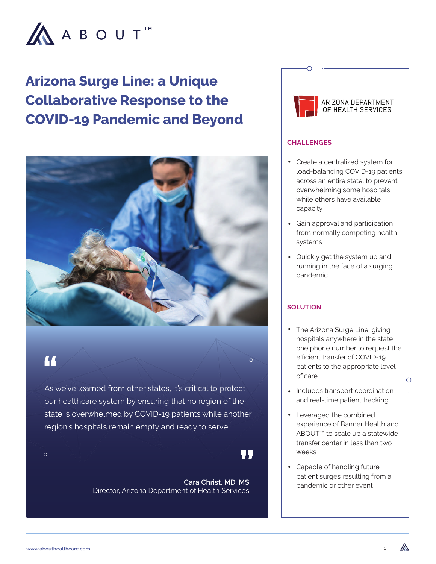

# **Arizona Surge Line: a Unique Collaborative Response to the COVID-19 Pandemic and Beyond**



**A** 

As we've learned from other states, it's critical to protect our healthcare system by ensuring that no region of the state is overwhelmed by COVID-19 patients while another region's hospitals remain empty and ready to serve.

, J. J

**Cara Christ, MD, MS**  Director, Arizona Department of Health Services



#### **CHALLENGES**

- Create a centralized system for load-balancing COVID-19 patients across an entire state, to prevent overwhelming some hospitals while others have available capacity
- Gain approval and participation from normally competing health systems
- Quickly get the system up and running in the face of a surging pandemic

## **SOLUTION**

- The Arizona Surge Line, giving hospitals anywhere in the state one phone number to request the efficient transfer of COVID-19 patients to the appropriate level of care
- Includes transport coordination and real-time patient tracking
- Leveraged the combined experience of Banner Health and ABOUT™ to scale up a statewide transfer center in less than two weeks
- Capable of handling future patient surges resulting from a pandemic or other event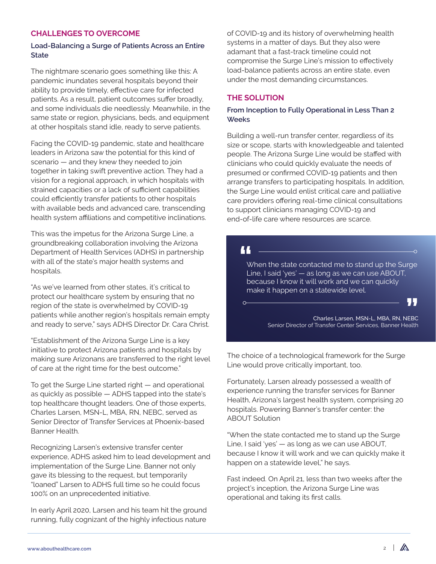### **CHALLENGES TO OVERCOME**

#### **Load-Balancing a Surge of Patients Across an Entire State**

The nightmare scenario goes something like this: A pandemic inundates several hospitals beyond their ability to provide timely, effective care for infected patients. As a result, patient outcomes suffer broadly, and some individuals die needlessly. Meanwhile, in the same state or region, physicians, beds, and equipment at other hospitals stand idle, ready to serve patients.

Facing the COVID-19 pandemic, state and healthcare leaders in Arizona saw the potential for this kind of scenario — and they knew they needed to join together in taking swift preventive action. They had a vision for a regional approach, in which hospitals with strained capacities or a lack of sufficient capabilities could efficiently transfer patients to other hospitals with available beds and advanced care, transcending health system affiliations and competitive inclinations.

This was the impetus for the Arizona Surge Line, a groundbreaking collaboration involving the Arizona Department of Health Services (ADHS) in partnership with all of the state's major health systems and hospitals.

"As we've learned from other states, it's critical to protect our healthcare system by ensuring that no region of the state is overwhelmed by COVID-19 patients while another region's hospitals remain empty and ready to serve," says ADHS Director Dr. Cara Christ.

"Establishment of the Arizona Surge Line is a key initiative to protect Arizona patients and hospitals by making sure Arizonans are transferred to the right level of care at the right time for the best outcome."

To get the Surge Line started right — and operational as quickly as possible — ADHS tapped into the state's top healthcare thought leaders. One of those experts, Charles Larsen, MSN-L, MBA, RN, NEBC, served as Senior Director of Transfer Services at Phoenix-based Banner Health.

Recognizing Larsen's extensive transfer center experience, ADHS asked him to lead development and implementation of the Surge Line. Banner not only gave its blessing to the request, but temporarily "loaned" Larsen to ADHS full time so he could focus 100% on an unprecedented initiative.

In early April 2020, Larsen and his team hit the ground running, fully cognizant of the highly infectious nature

of COVID-19 and its history of overwhelming health systems in a matter of days. But they also were adamant that a fast-track timeline could not compromise the Surge Line's mission to effectively load-balance patients across an entire state, even under the most demanding circumstances.

## **THE SOLUTION**

#### **From Inception to Fully Operational in Less Than 2 Weeks**

Building a well-run transfer center, regardless of its size or scope, starts with knowledgeable and talented people. The Arizona Surge Line would be staffed with clinicians who could quickly evaluate the needs of presumed or confirmed COVID-19 patients and then arrange transfers to participating hospitals. In addition, the Surge Line would enlist critical care and palliative care providers offering real-time clinical consultations to support clinicians managing COVID-19 and end-of-life care where resources are scarce.

## 44

 $\circ$ 

When the state contacted me to stand up the Surge Line, I said 'yes' — as long as we can use ABOUT, because I know it will work and we can quickly make it happen on a statewide level.

> Charles Larsen, MSN-L, MBA, RN, NEBC Senior Director of Transfer Center Services, Banner Health

The choice of a technological framework for the Surge Line would prove critically important, too.

Fortunately, Larsen already possessed a wealth of experience running the transfer services for Banner Health, Arizona's largest health system, comprising 20 hospitals. Powering Banner's transfer center: the ABOUT Solution

"When the state contacted me to stand up the Surge Line, I said 'yes' — as long as we can use ABOUT, because I know it will work and we can quickly make it happen on a statewide level," he says.

Fast indeed. On April 21, less than two weeks after the project's inception, the Arizona Surge Line was operational and taking its first calls.

77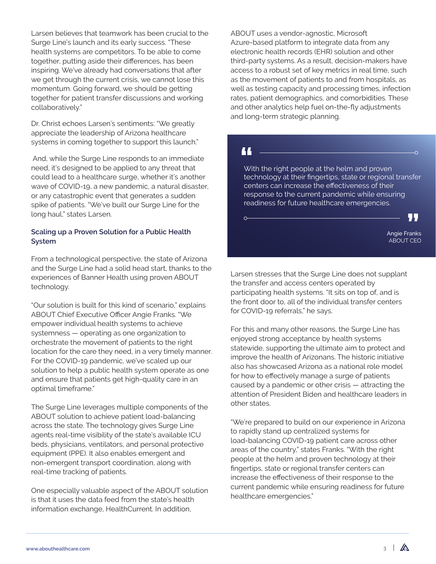Larsen believes that teamwork has been crucial to the Surge Line's launch and its early success. "These health systems are competitors. To be able to come together, putting aside their differences, has been inspiring. We've already had conversations that after we get through the current crisis, we cannot lose this momentum. Going forward, we should be getting together for patient transfer discussions and working collaboratively."

Dr. Christ echoes Larsen's sentiments: "We greatly appreciate the leadership of Arizona healthcare systems in coming together to support this launch."

 And, while the Surge Line responds to an immediate need, it's designed to be applied to any threat that could lead to a healthcare surge, whether it's another wave of COVID-19, a new pandemic, a natural disaster, or any catastrophic event that generates a sudden spike of patients. "We've built our Surge Line for the long haul," states Larsen.

#### **Scaling up a Proven Solution for a Public Health System**

From a technological perspective, the state of Arizona and the Surge Line had a solid head start, thanks to the experiences of Banner Health using proven ABOUT technology.

"Our solution is built for this kind of scenario," explains ABOUT Chief Executive Officer Angie Franks. "We empower individual health systems to achieve systemness — operating as one organization to orchestrate the movement of patients to the right location for the care they need, in a very timely manner. For the COVID-19 pandemic, we've scaled up our solution to help a public health system operate as one and ensure that patients get high-quality care in an optimal timeframe."

The Surge Line leverages multiple components of the ABOUT solution to achieve patient load-balancing across the state. The technology gives Surge Line agents real-time visibility of the state's available ICU beds, physicians, ventilators, and personal protective equipment (PPE). It also enables emergent and non-emergent transport coordination, along with real-time tracking of patients.

One especially valuable aspect of the ABOUT solution is that it uses the data feed from the state's health information exchange, HealthCurrent. In addition,

ABOUT uses a vendor-agnostic, Microsoft Azure-based platform to integrate data from any electronic health records (EHR) solution and other third-party systems. As a result, decision-makers have access to a robust set of key metrics in real time, such as the movement of patients to and from hospitals, as well as testing capacity and processing times, infection rates, patient demographics, and comorbidities. These and other analytics help fuel on-the-fly adjustments and long-term strategic planning.

# 44

 $\Omega$ 

With the right people at the helm and proven technology at their fingertips, state or regional transfer centers can increase the effectiveness of their response to the current pandemic while ensuring readiness for future healthcare emergencies.

> Angie Franks ABOUT CEO

99

Larsen stresses that the Surge Line does not supplant the transfer and access centers operated by participating health systems. "It sits on top of, and is the front door to, all of the individual transfer centers for COVID-19 referrals," he says.

For this and many other reasons, the Surge Line has enjoyed strong acceptance by health systems statewide, supporting the ultimate aim to protect and improve the health of Arizonans. The historic initiative also has showcased Arizona as a national role model for how to effectively manage a surge of patients caused by a pandemic or other crisis — attracting the attention of President Biden and healthcare leaders in other states.

"We're prepared to build on our experience in Arizona to rapidly stand up centralized systems for load-balancing COVID-19 patient care across other areas of the country," states Franks. "With the right people at the helm and proven technology at their fingertips, state or regional transfer centers can increase the effectiveness of their response to the current pandemic while ensuring readiness for future healthcare emergencies."